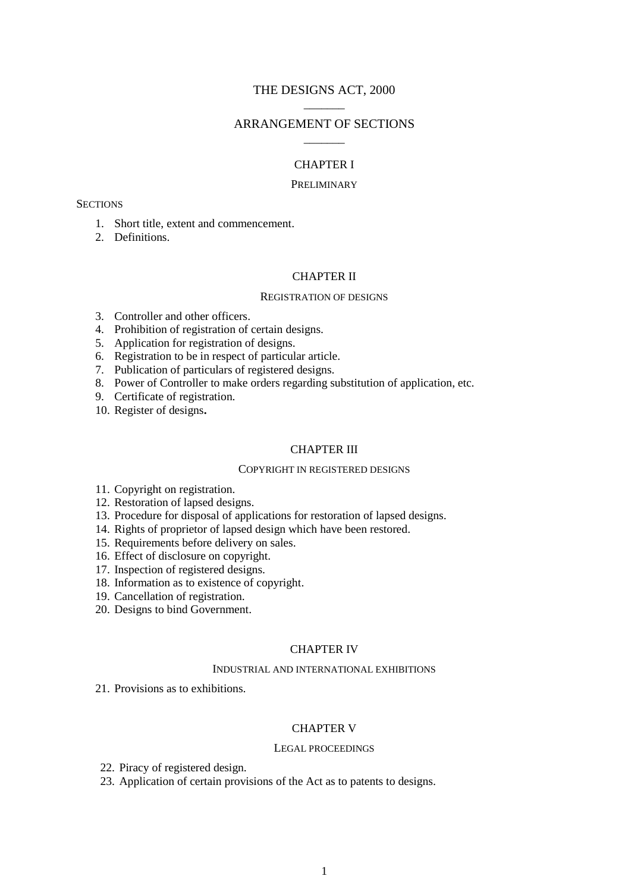# THE DESIGNS ACT, 2000  $\overline{\phantom{a}}$

# ARRANGEMENT OF SECTIONS  $\overline{\phantom{a}}$

### CHAPTER I

### PRELIMINARY

#### **SECTIONS**

- 1. Short title, extent and commencement.
- 2. Definitions.

## CHAPTER II

### REGISTRATION OF DESIGNS

- 3. Controller and other officers.
- 4. Prohibition of registration of certain designs.
- 5. Application for registration of designs.
- 6. Registration to be in respect of particular article.
- 7. Publication of particulars of registered designs.
- 8. Power of Controller to make orders regarding substitution of application, etc.
- 9. Certificate of registration.
- 10. Register of designs**.**

## CHAPTER III

### COPYRIGHT IN REGISTERED DESIGNS

- 11. Copyright on registration.
- 12. Restoration of lapsed designs.
- 13. Procedure for disposal of applications for restoration of lapsed designs.
- 14. Rights of proprietor of lapsed design which have been restored.
- 15. Requirements before delivery on sales.
- 16. Effect of disclosure on copyright.
- 17. Inspection of registered designs.
- 18. Information as to existence of copyright.
- 19. Cancellation of registration.
- 20. Designs to bind Government.

## CHAPTER IV

### INDUSTRIAL AND INTERNATIONAL EXHIBITIONS

21. Provisions as to exhibitions.

## CHAPTER V

#### LEGAL PROCEEDINGS

- 22. Piracy of registered design.
- 23. Application of certain provisions of the Act as to patents to designs.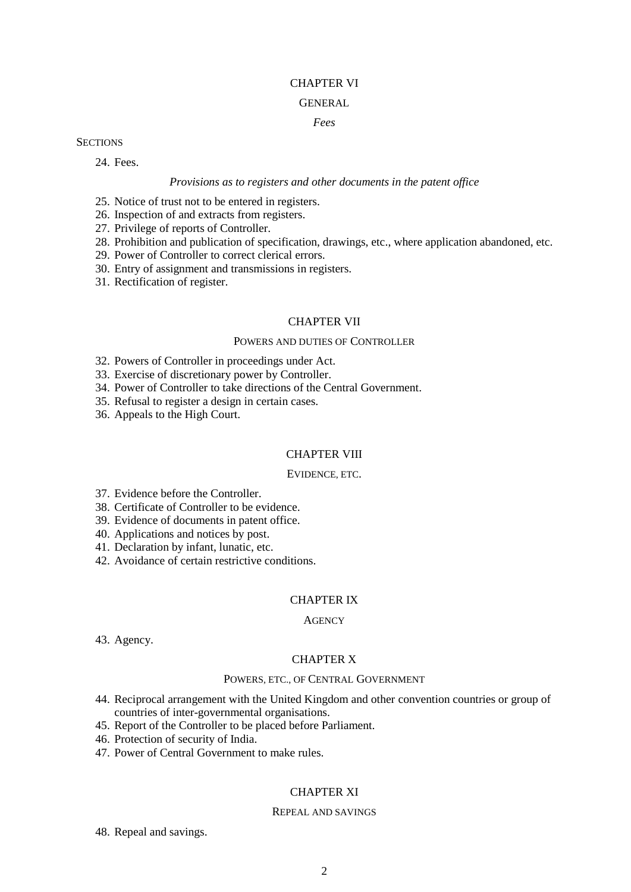## CHAPTER VI

# GENERAL

# *Fees*

### **SECTIONS**

24. Fees.

## *Provisions as to registers and other documents in the patent office*

- 25. Notice of trust not to be entered in registers.
- 26. Inspection of and extracts from registers.
- 27. Privilege of reports of Controller.
- 28. Prohibition and publication of specification, drawings, etc., where application abandoned, etc.
- 29. Power of Controller to correct clerical errors.
- 30. Entry of assignment and transmissions in registers.
- 31. Rectification of register.

# CHAPTER VII

## POWERS AND DUTIES OF CONTROLLER

32. Powers of Controller in proceedings under Act.

33. Exercise of discretionary power by Controller.

- 34. Power of Controller to take directions of the Central Government.
- 35. Refusal to register a design in certain cases.
- 36. Appeals to the High Court.

# CHAPTER VIII

# EVIDENCE, ETC.

- 37. Evidence before the Controller.
- 38. Certificate of Controller to be evidence.
- 39. Evidence of documents in patent office.
- 40. Applications and notices by post.
- 41. Declaration by infant, lunatic, etc.
- 42. Avoidance of certain restrictive conditions.

# CHAPTER IX

# **AGENCY**

43. Agency.

# CHAPTER X

# POWERS, ETC., OF CENTRAL GOVERNMENT

- 44. Reciprocal arrangement with the United Kingdom and other convention countries or group of countries of inter-governmental organisations.
- 45. Report of the Controller to be placed before Parliament.
- 46. Protection of security of India.
- 47. Power of Central Government to make rules.

# CHAPTER XI

### REPEAL AND SAVINGS

48. Repeal and savings.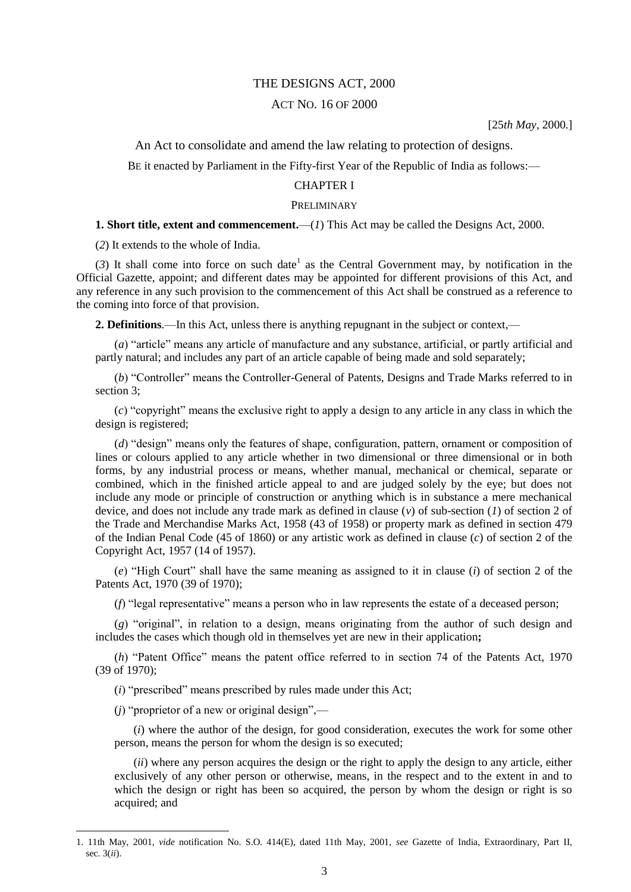## THE DESIGNS ACT, 2000

## ACT NO. 16 OF 2000

[25*th May*, 2000.]

An Act to consolidate and amend the law relating to protection of designs.

BE it enacted by Parliament in the Fifty-first Year of the Republic of India as follows:—

# CHAPTER I

#### PRELIMINARY

### **1. Short title, extent and commencement.**—(*1*) This Act may be called the Designs Act, 2000.

(*2*) It extends to the whole of India.

(3) It shall come into force on such date<sup>1</sup> as the Central Government may, by notification in the Official Gazette, appoint; and different dates may be appointed for different provisions of this Act, and any reference in any such provision to the commencement of this Act shall be construed as a reference to the coming into force of that provision.

**2. Definitions**.—In this Act, unless there is anything repugnant in the subject or context,—

(*a*) "article" means any article of manufacture and any substance, artificial, or partly artificial and partly natural; and includes any part of an article capable of being made and sold separately;

(*b*) "Controller" means the Controller-General of Patents, Designs and Trade Marks referred to in section 3;

(*c*) "copyright" means the exclusive right to apply a design to any article in any class in which the design is registered;

(*d*) "design" means only the features of shape, configuration, pattern, ornament or composition of lines or colours applied to any article whether in two dimensional or three dimensional or in both forms, by any industrial process or means, whether manual, mechanical or chemical, separate or combined, which in the finished article appeal to and are judged solely by the eye; but does not include any mode or principle of construction or anything which is in substance a mere mechanical device, and does not include any trade mark as defined in clause (*v*) of sub-section (*1*) of section 2 of the Trade and Merchandise Marks Act, 1958 (43 of 1958) or property mark as defined in section 479 of the Indian Penal Code (45 of 1860) or any artistic work as defined in clause (*c*) of section 2 of the Copyright Act, 1957 (14 of 1957).

(*e*) "High Court" shall have the same meaning as assigned to it in clause (*i*) of section 2 of the Patents Act, 1970 (39 of 1970);

(*f*) "legal representative" means a person who in law represents the estate of a deceased person;

(*g*) "original", in relation to a design, means originating from the author of such design and includes the cases which though old in themselves yet are new in their application**;**

(*h*) "Patent Office" means the patent office referred to in section 74 of the Patents Act, 1970 (39 of 1970);

(*i*) "prescribed" means prescribed by rules made under this Act;

(*j*) "proprietor of a new or original design",—

1

(*i*) where the author of the design, for good consideration, executes the work for some other person, means the person for whom the design is so executed;

(*ii*) where any person acquires the design or the right to apply the design to any article, either exclusively of any other person or otherwise, means, in the respect and to the extent in and to which the design or right has been so acquired, the person by whom the design or right is so acquired; and

<sup>1. 11</sup>th May, 2001, *vide* notification No. S.O. 414(E), dated 11th May, 2001, *see* Gazette of India, Extraordinary, Part II, sec. 3(*ii*).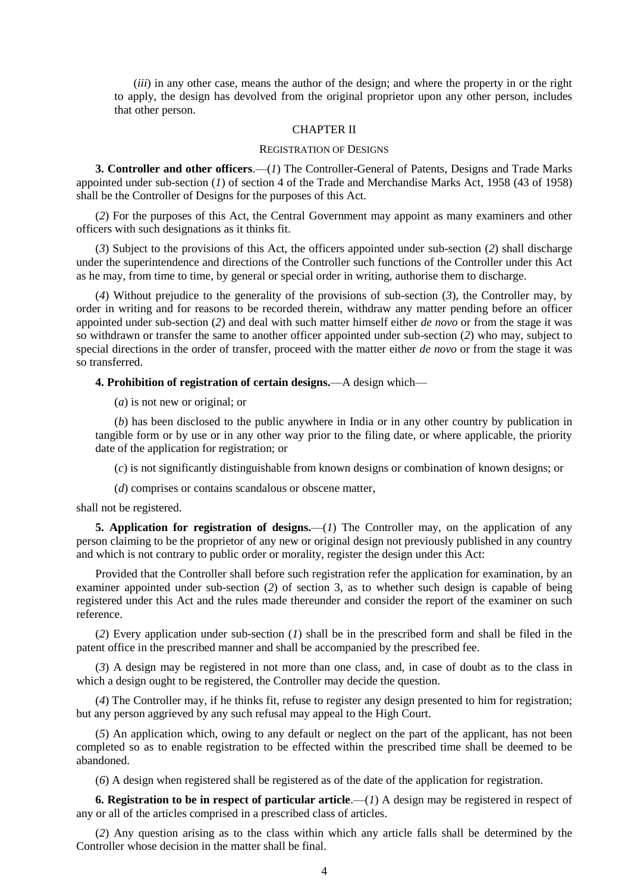(*iii*) in any other case, means the author of the design; and where the property in or the right to apply, the design has devolved from the original proprietor upon any other person, includes that other person.

#### CHAPTER II

#### REGISTRATION OF DESIGNS

**3. Controller and other officers**.—(*1*) The Controller-General of Patents, Designs and Trade Marks appointed under sub-section (*1*) of section 4 of the Trade and Merchandise Marks Act, 1958 (43 of 1958) shall be the Controller of Designs for the purposes of this Act.

(*2*) For the purposes of this Act, the Central Government may appoint as many examiners and other officers with such designations as it thinks fit.

(*3*) Subject to the provisions of this Act, the officers appointed under sub-section (*2*) shall discharge under the superintendence and directions of the Controller such functions of the Controller under this Act as he may, from time to time, by general or special order in writing, authorise them to discharge.

(*4*) Without prejudice to the generality of the provisions of sub-section (*3*), the Controller may, by order in writing and for reasons to be recorded therein, withdraw any matter pending before an officer appointed under sub-section (*2*) and deal with such matter himself either *de novo* or from the stage it was so withdrawn or transfer the same to another officer appointed under sub-section (*2*) who may, subject to special directions in the order of transfer, proceed with the matter either *de novo* or from the stage it was so transferred.

**4. Prohibition of registration of certain designs.**—A design which—

(*a*) is not new or original; or

(*b*) has been disclosed to the public anywhere in India or in any other country by publication in tangible form or by use or in any other way prior to the filing date, or where applicable, the priority date of the application for registration; or

(*c*) is not significantly distinguishable from known designs or combination of known designs; or

(*d*) comprises or contains scandalous or obscene matter,

shall not be registered.

**5. Application for registration of designs.**—(*1*) The Controller may, on the application of any person claiming to be the proprietor of any new or original design not previously published in any country and which is not contrary to public order or morality, register the design under this Act:

Provided that the Controller shall before such registration refer the application for examination, by an examiner appointed under sub-section (*2*) of section 3, as to whether such design is capable of being registered under this Act and the rules made thereunder and consider the report of the examiner on such reference.

(*2*) Every application under sub-section (*1*) shall be in the prescribed form and shall be filed in the patent office in the prescribed manner and shall be accompanied by the prescribed fee.

(*3*) A design may be registered in not more than one class, and, in case of doubt as to the class in which a design ought to be registered, the Controller may decide the question.

(*4*) The Controller may, if he thinks fit, refuse to register any design presented to him for registration; but any person aggrieved by any such refusal may appeal to the High Court.

(*5*) An application which, owing to any default or neglect on the part of the applicant, has not been completed so as to enable registration to be effected within the prescribed time shall be deemed to be abandoned.

(*6*) A design when registered shall be registered as of the date of the application for registration.

**6.** Registration to be in respect of particular article.—(*1*) A design may be registered in respect of any or all of the articles comprised in a prescribed class of articles.

(*2*) Any question arising as to the class within which any article falls shall be determined by the Controller whose decision in the matter shall be final.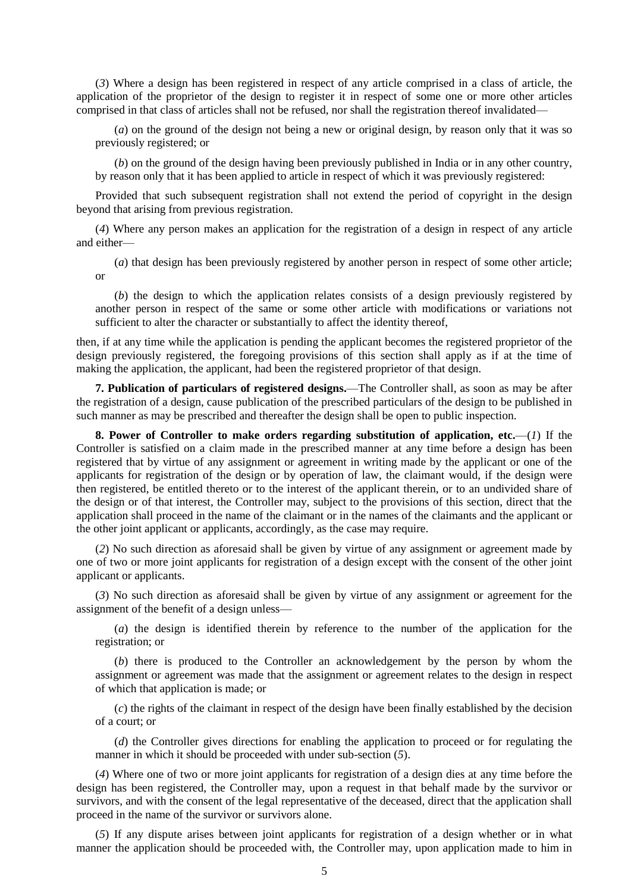(*3*) Where a design has been registered in respect of any article comprised in a class of article, the application of the proprietor of the design to register it in respect of some one or more other articles comprised in that class of articles shall not be refused, nor shall the registration thereof invalidated—

(*a*) on the ground of the design not being a new or original design, by reason only that it was so previously registered; or

(*b*) on the ground of the design having been previously published in India or in any other country, by reason only that it has been applied to article in respect of which it was previously registered:

Provided that such subsequent registration shall not extend the period of copyright in the design beyond that arising from previous registration.

(*4*) Where any person makes an application for the registration of a design in respect of any article and either—

(*a*) that design has been previously registered by another person in respect of some other article; or

(*b*) the design to which the application relates consists of a design previously registered by another person in respect of the same or some other article with modifications or variations not sufficient to alter the character or substantially to affect the identity thereof,

then, if at any time while the application is pending the applicant becomes the registered proprietor of the design previously registered, the foregoing provisions of this section shall apply as if at the time of making the application, the applicant, had been the registered proprietor of that design.

**7. Publication of particulars of registered designs.**—The Controller shall, as soon as may be after the registration of a design, cause publication of the prescribed particulars of the design to be published in such manner as may be prescribed and thereafter the design shall be open to public inspection.

**8. Power of Controller to make orders regarding substitution of application, etc.**—(*1*) If the Controller is satisfied on a claim made in the prescribed manner at any time before a design has been registered that by virtue of any assignment or agreement in writing made by the applicant or one of the applicants for registration of the design or by operation of law, the claimant would, if the design were then registered, be entitled thereto or to the interest of the applicant therein, or to an undivided share of the design or of that interest, the Controller may, subject to the provisions of this section, direct that the application shall proceed in the name of the claimant or in the names of the claimants and the applicant or the other joint applicant or applicants, accordingly, as the case may require.

(*2*) No such direction as aforesaid shall be given by virtue of any assignment or agreement made by one of two or more joint applicants for registration of a design except with the consent of the other joint applicant or applicants.

(*3*) No such direction as aforesaid shall be given by virtue of any assignment or agreement for the assignment of the benefit of a design unless—

(*a*) the design is identified therein by reference to the number of the application for the registration; or

(*b*) there is produced to the Controller an acknowledgement by the person by whom the assignment or agreement was made that the assignment or agreement relates to the design in respect of which that application is made; or

(*c*) the rights of the claimant in respect of the design have been finally established by the decision of a court; or

(*d*) the Controller gives directions for enabling the application to proceed or for regulating the manner in which it should be proceeded with under sub-section (*5*).

(*4*) Where one of two or more joint applicants for registration of a design dies at any time before the design has been registered, the Controller may, upon a request in that behalf made by the survivor or survivors, and with the consent of the legal representative of the deceased, direct that the application shall proceed in the name of the survivor or survivors alone.

(*5*) If any dispute arises between joint applicants for registration of a design whether or in what manner the application should be proceeded with, the Controller may, upon application made to him in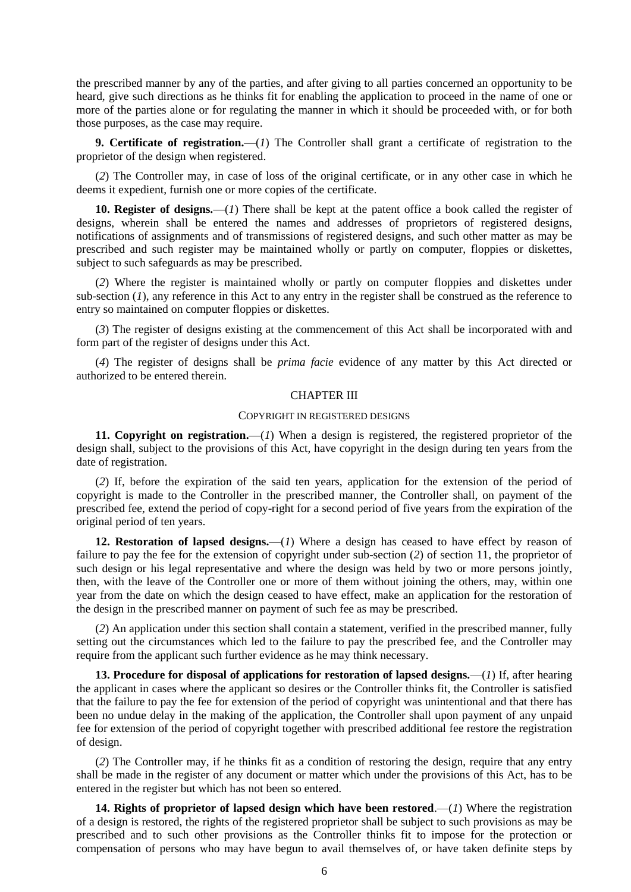the prescribed manner by any of the parties, and after giving to all parties concerned an opportunity to be heard, give such directions as he thinks fit for enabling the application to proceed in the name of one or more of the parties alone or for regulating the manner in which it should be proceeded with, or for both those purposes, as the case may require.

**9. Certificate of registration.**—(*1*) The Controller shall grant a certificate of registration to the proprietor of the design when registered.

(*2*) The Controller may, in case of loss of the original certificate, or in any other case in which he deems it expedient, furnish one or more copies of the certificate.

**10. Register of designs.**—(*1*) There shall be kept at the patent office a book called the register of designs, wherein shall be entered the names and addresses of proprietors of registered designs, notifications of assignments and of transmissions of registered designs, and such other matter as may be prescribed and such register may be maintained wholly or partly on computer, floppies or diskettes, subject to such safeguards as may be prescribed.

(*2*) Where the register is maintained wholly or partly on computer floppies and diskettes under sub-section (*1*), any reference in this Act to any entry in the register shall be construed as the reference to entry so maintained on computer floppies or diskettes.

(*3*) The register of designs existing at the commencement of this Act shall be incorporated with and form part of the register of designs under this Act.

(*4*) The register of designs shall be *prima facie* evidence of any matter by this Act directed or authorized to be entered therein.

### CHAPTER III

#### COPYRIGHT IN REGISTERED DESIGNS

**11. Copyright on registration.**—(*1*) When a design is registered, the registered proprietor of the design shall, subject to the provisions of this Act, have copyright in the design during ten years from the date of registration.

(*2*) If, before the expiration of the said ten years, application for the extension of the period of copyright is made to the Controller in the prescribed manner, the Controller shall, on payment of the prescribed fee, extend the period of copy-right for a second period of five years from the expiration of the original period of ten years.

**12. Restoration of lapsed designs.**—(*1*) Where a design has ceased to have effect by reason of failure to pay the fee for the extension of copyright under sub-section (*2*) of section 11, the proprietor of such design or his legal representative and where the design was held by two or more persons jointly, then, with the leave of the Controller one or more of them without joining the others, may, within one year from the date on which the design ceased to have effect, make an application for the restoration of the design in the prescribed manner on payment of such fee as may be prescribed.

(*2*) An application under this section shall contain a statement, verified in the prescribed manner, fully setting out the circumstances which led to the failure to pay the prescribed fee, and the Controller may require from the applicant such further evidence as he may think necessary.

**13. Procedure for disposal of applications for restoration of lapsed designs.**—(*1*) If, after hearing the applicant in cases where the applicant so desires or the Controller thinks fit, the Controller is satisfied that the failure to pay the fee for extension of the period of copyright was unintentional and that there has been no undue delay in the making of the application, the Controller shall upon payment of any unpaid fee for extension of the period of copyright together with prescribed additional fee restore the registration of design.

(*2*) The Controller may, if he thinks fit as a condition of restoring the design, require that any entry shall be made in the register of any document or matter which under the provisions of this Act, has to be entered in the register but which has not been so entered.

**14. Rights of proprietor of lapsed design which have been restored**.—(*1*) Where the registration of a design is restored, the rights of the registered proprietor shall be subject to such provisions as may be prescribed and to such other provisions as the Controller thinks fit to impose for the protection or compensation of persons who may have begun to avail themselves of, or have taken definite steps by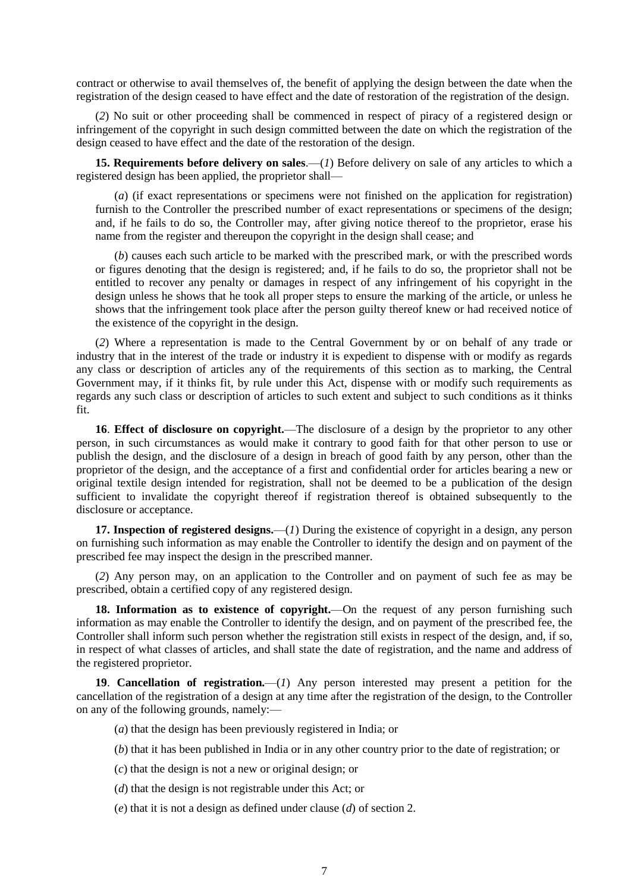contract or otherwise to avail themselves of, the benefit of applying the design between the date when the registration of the design ceased to have effect and the date of restoration of the registration of the design.

(*2*) No suit or other proceeding shall be commenced in respect of piracy of a registered design or infringement of the copyright in such design committed between the date on which the registration of the design ceased to have effect and the date of the restoration of the design.

**15. Requirements before delivery on sales**.—(*1*) Before delivery on sale of any articles to which a registered design has been applied, the proprietor shall—

(*a*) (if exact representations or specimens were not finished on the application for registration) furnish to the Controller the prescribed number of exact representations or specimens of the design; and, if he fails to do so, the Controller may, after giving notice thereof to the proprietor, erase his name from the register and thereupon the copyright in the design shall cease; and

(*b*) causes each such article to be marked with the prescribed mark, or with the prescribed words or figures denoting that the design is registered; and, if he fails to do so, the proprietor shall not be entitled to recover any penalty or damages in respect of any infringement of his copyright in the design unless he shows that he took all proper steps to ensure the marking of the article, or unless he shows that the infringement took place after the person guilty thereof knew or had received notice of the existence of the copyright in the design.

(*2*) Where a representation is made to the Central Government by or on behalf of any trade or industry that in the interest of the trade or industry it is expedient to dispense with or modify as regards any class or description of articles any of the requirements of this section as to marking, the Central Government may, if it thinks fit, by rule under this Act, dispense with or modify such requirements as regards any such class or description of articles to such extent and subject to such conditions as it thinks fit.

**16**. **Effect of disclosure on copyright.**—The disclosure of a design by the proprietor to any other person, in such circumstances as would make it contrary to good faith for that other person to use or publish the design, and the disclosure of a design in breach of good faith by any person, other than the proprietor of the design, and the acceptance of a first and confidential order for articles bearing a new or original textile design intended for registration, shall not be deemed to be a publication of the design sufficient to invalidate the copyright thereof if registration thereof is obtained subsequently to the disclosure or acceptance.

**17. Inspection of registered designs.**—(*1*) During the existence of copyright in a design, any person on furnishing such information as may enable the Controller to identify the design and on payment of the prescribed fee may inspect the design in the prescribed manner.

(*2*) Any person may, on an application to the Controller and on payment of such fee as may be prescribed, obtain a certified copy of any registered design.

**18. Information as to existence of copyright.**—On the request of any person furnishing such information as may enable the Controller to identify the design, and on payment of the prescribed fee, the Controller shall inform such person whether the registration still exists in respect of the design, and, if so, in respect of what classes of articles, and shall state the date of registration, and the name and address of the registered proprietor.

**19**. **Cancellation of registration.**—(*1*) Any person interested may present a petition for the cancellation of the registration of a design at any time after the registration of the design, to the Controller on any of the following grounds, namely:—

- (*a*) that the design has been previously registered in India; or
- (*b*) that it has been published in India or in any other country prior to the date of registration; or
- (*c*) that the design is not a new or original design; or
- (*d*) that the design is not registrable under this Act; or
- (*e*) that it is not a design as defined under clause (*d*) of section 2.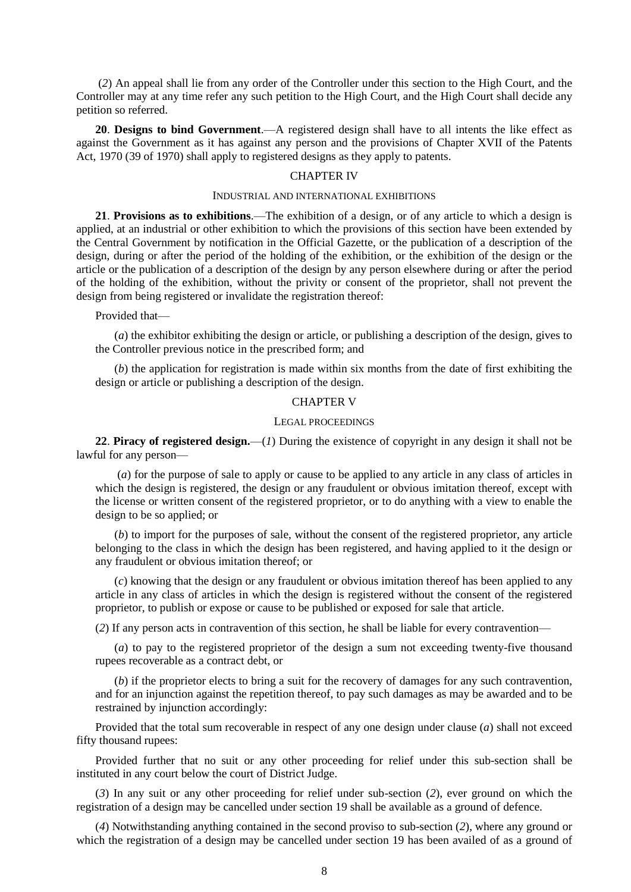(*2*) An appeal shall lie from any order of the Controller under this section to the High Court, and the Controller may at any time refer any such petition to the High Court, and the High Court shall decide any petition so referred.

**20**. **Designs to bind Government**.—A registered design shall have to all intents the like effect as against the Government as it has against any person and the provisions of Chapter XVII of the Patents Act, 1970 (39 of 1970) shall apply to registered designs as they apply to patents.

### CHAPTER IV

### INDUSTRIAL AND INTERNATIONAL EXHIBITIONS

**21**. **Provisions as to exhibitions**.—The exhibition of a design, or of any article to which a design is applied, at an industrial or other exhibition to which the provisions of this section have been extended by the Central Government by notification in the Official Gazette, or the publication of a description of the design, during or after the period of the holding of the exhibition, or the exhibition of the design or the article or the publication of a description of the design by any person elsewhere during or after the period of the holding of the exhibition, without the privity or consent of the proprietor, shall not prevent the design from being registered or invalidate the registration thereof:

#### Provided that—

(*a*) the exhibitor exhibiting the design or article, or publishing a description of the design, gives to the Controller previous notice in the prescribed form; and

(*b*) the application for registration is made within six months from the date of first exhibiting the design or article or publishing a description of the design.

# CHAPTER V

### LEGAL PROCEEDINGS

**22**. **Piracy of registered design.**—(*1*) During the existence of copyright in any design it shall not be lawful for any person—

(*a*) for the purpose of sale to apply or cause to be applied to any article in any class of articles in which the design is registered, the design or any fraudulent or obvious imitation thereof, except with the license or written consent of the registered proprietor, or to do anything with a view to enable the design to be so applied; or

(*b*) to import for the purposes of sale, without the consent of the registered proprietor, any article belonging to the class in which the design has been registered, and having applied to it the design or any fraudulent or obvious imitation thereof; or

(*c*) knowing that the design or any fraudulent or obvious imitation thereof has been applied to any article in any class of articles in which the design is registered without the consent of the registered proprietor, to publish or expose or cause to be published or exposed for sale that article.

(*2*) If any person acts in contravention of this section, he shall be liable for every contravention—

(*a*) to pay to the registered proprietor of the design a sum not exceeding twenty-five thousand rupees recoverable as a contract debt, or

(*b*) if the proprietor elects to bring a suit for the recovery of damages for any such contravention, and for an injunction against the repetition thereof, to pay such damages as may be awarded and to be restrained by injunction accordingly:

Provided that the total sum recoverable in respect of any one design under clause (*a*) shall not exceed fifty thousand rupees:

Provided further that no suit or any other proceeding for relief under this sub-section shall be instituted in any court below the court of District Judge.

(*3*) In any suit or any other proceeding for relief under sub-section (*2*), ever ground on which the registration of a design may be cancelled under section 19 shall be available as a ground of defence.

(*4*) Notwithstanding anything contained in the second proviso to sub-section (*2*), where any ground or which the registration of a design may be cancelled under section 19 has been availed of as a ground of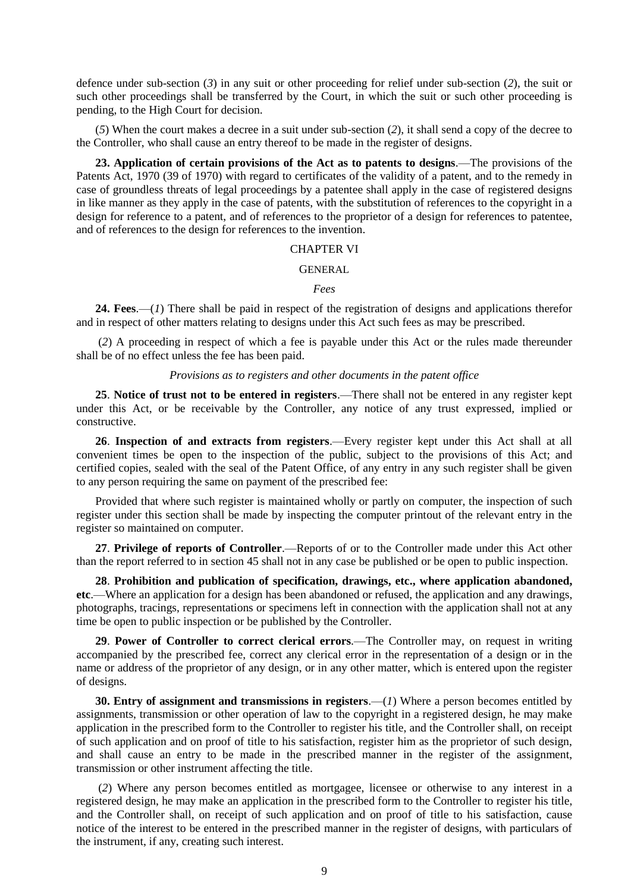defence under sub-section (*3*) in any suit or other proceeding for relief under sub-section (*2*), the suit or such other proceedings shall be transferred by the Court, in which the suit or such other proceeding is pending, to the High Court for decision.

(*5*) When the court makes a decree in a suit under sub-section (*2*), it shall send a copy of the decree to the Controller, who shall cause an entry thereof to be made in the register of designs.

**23. Application of certain provisions of the Act as to patents to designs**.—The provisions of the Patents Act, 1970 (39 of 1970) with regard to certificates of the validity of a patent, and to the remedy in case of groundless threats of legal proceedings by a patentee shall apply in the case of registered designs in like manner as they apply in the case of patents, with the substitution of references to the copyright in a design for reference to a patent, and of references to the proprietor of a design for references to patentee, and of references to the design for references to the invention.

### CHAPTER VI

#### GENERAL

*Fees*

**24. Fees**.—(*1*) There shall be paid in respect of the registration of designs and applications therefor and in respect of other matters relating to designs under this Act such fees as may be prescribed.

(*2*) A proceeding in respect of which a fee is payable under this Act or the rules made thereunder shall be of no effect unless the fee has been paid.

### *Provisions as to registers and other documents in the patent office*

**25**. **Notice of trust not to be entered in registers**.—There shall not be entered in any register kept under this Act, or be receivable by the Controller, any notice of any trust expressed, implied or constructive.

**26**. **Inspection of and extracts from registers**.—Every register kept under this Act shall at all convenient times be open to the inspection of the public, subject to the provisions of this Act; and certified copies, sealed with the seal of the Patent Office, of any entry in any such register shall be given to any person requiring the same on payment of the prescribed fee:

Provided that where such register is maintained wholly or partly on computer, the inspection of such register under this section shall be made by inspecting the computer printout of the relevant entry in the register so maintained on computer.

**27**. **Privilege of reports of Controller**.—Reports of or to the Controller made under this Act other than the report referred to in section 45 shall not in any case be published or be open to public inspection.

**28**. **Prohibition and publication of specification, drawings, etc., where application abandoned, etc**.—Where an application for a design has been abandoned or refused, the application and any drawings, photographs, tracings, representations or specimens left in connection with the application shall not at any time be open to public inspection or be published by the Controller.

**29**. **Power of Controller to correct clerical errors**.—The Controller may, on request in writing accompanied by the prescribed fee, correct any clerical error in the representation of a design or in the name or address of the proprietor of any design, or in any other matter, which is entered upon the register of designs.

**30. Entry of assignment and transmissions in registers**.—(*1*) Where a person becomes entitled by assignments, transmission or other operation of law to the copyright in a registered design, he may make application in the prescribed form to the Controller to register his title, and the Controller shall, on receipt of such application and on proof of title to his satisfaction, register him as the proprietor of such design, and shall cause an entry to be made in the prescribed manner in the register of the assignment, transmission or other instrument affecting the title.

(*2*) Where any person becomes entitled as mortgagee, licensee or otherwise to any interest in a registered design, he may make an application in the prescribed form to the Controller to register his title, and the Controller shall, on receipt of such application and on proof of title to his satisfaction, cause notice of the interest to be entered in the prescribed manner in the register of designs, with particulars of the instrument, if any, creating such interest.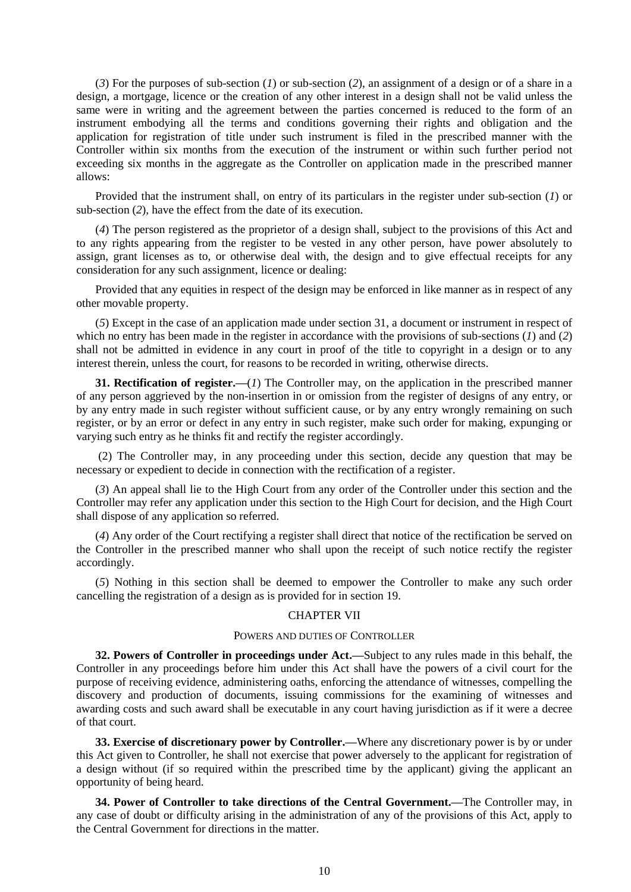(*3*) For the purposes of sub-section (*1*) or sub-section (*2*), an assignment of a design or of a share in a design, a mortgage, licence or the creation of any other interest in a design shall not be valid unless the same were in writing and the agreement between the parties concerned is reduced to the form of an instrument embodying all the terms and conditions governing their rights and obligation and the application for registration of title under such instrument is filed in the prescribed manner with the Controller within six months from the execution of the instrument or within such further period not exceeding six months in the aggregate as the Controller on application made in the prescribed manner allows:

Provided that the instrument shall, on entry of its particulars in the register under sub-section (*1*) or sub-section (*2*), have the effect from the date of its execution.

(*4*) The person registered as the proprietor of a design shall, subject to the provisions of this Act and to any rights appearing from the register to be vested in any other person, have power absolutely to assign, grant licenses as to, or otherwise deal with, the design and to give effectual receipts for any consideration for any such assignment, licence or dealing:

Provided that any equities in respect of the design may be enforced in like manner as in respect of any other movable property.

(*5*) Except in the case of an application made under section 31, a document or instrument in respect of which no entry has been made in the register in accordance with the provisions of sub-sections (*1*) and (*2*) shall not be admitted in evidence in any court in proof of the title to copyright in a design or to any interest therein, unless the court, for reasons to be recorded in writing, otherwise directs.

**31. Rectification of register.—**(*1*) The Controller may, on the application in the prescribed manner of any person aggrieved by the non-insertion in or omission from the register of designs of any entry, or by any entry made in such register without sufficient cause, or by any entry wrongly remaining on such register, or by an error or defect in any entry in such register, make such order for making, expunging or varying such entry as he thinks fit and rectify the register accordingly.

(2) The Controller may, in any proceeding under this section, decide any question that may be necessary or expedient to decide in connection with the rectification of a register.

(*3*) An appeal shall lie to the High Court from any order of the Controller under this section and the Controller may refer any application under this section to the High Court for decision, and the High Court shall dispose of any application so referred.

(*4*) Any order of the Court rectifying a register shall direct that notice of the rectification be served on the Controller in the prescribed manner who shall upon the receipt of such notice rectify the register accordingly.

(*5*) Nothing in this section shall be deemed to empower the Controller to make any such order cancelling the registration of a design as is provided for in section 19.

## CHAPTER VII

## POWERS AND DUTIES OF CONTROLLER

**32. Powers of Controller in proceedings under Act.—**Subject to any rules made in this behalf, the Controller in any proceedings before him under this Act shall have the powers of a civil court for the purpose of receiving evidence, administering oaths, enforcing the attendance of witnesses, compelling the discovery and production of documents, issuing commissions for the examining of witnesses and awarding costs and such award shall be executable in any court having jurisdiction as if it were a decree of that court.

**33. Exercise of discretionary power by Controller.—**Where any discretionary power is by or under this Act given to Controller, he shall not exercise that power adversely to the applicant for registration of a design without (if so required within the prescribed time by the applicant) giving the applicant an opportunity of being heard.

**34. Power of Controller to take directions of the Central Government.—**The Controller may, in any case of doubt or difficulty arising in the administration of any of the provisions of this Act, apply to the Central Government for directions in the matter.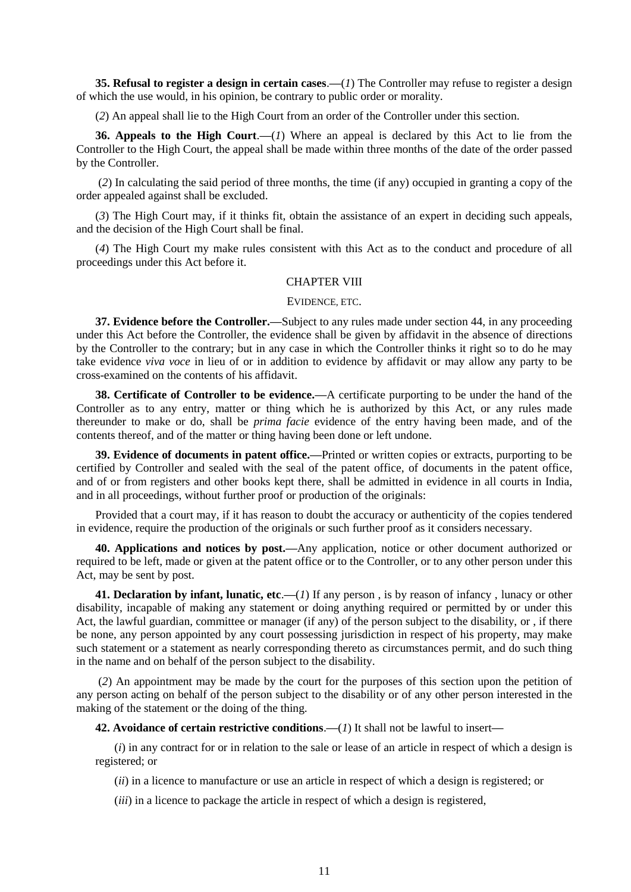**35. Refusal to register a design in certain cases**.**—**(*1*) The Controller may refuse to register a design of which the use would, in his opinion, be contrary to public order or morality.

(*2*) An appeal shall lie to the High Court from an order of the Controller under this section.

**36. Appeals to the High Court**.**—**(*1*) Where an appeal is declared by this Act to lie from the Controller to the High Court, the appeal shall be made within three months of the date of the order passed by the Controller.

(*2*) In calculating the said period of three months, the time (if any) occupied in granting a copy of the order appealed against shall be excluded.

(*3*) The High Court may, if it thinks fit, obtain the assistance of an expert in deciding such appeals, and the decision of the High Court shall be final.

(*4*) The High Court my make rules consistent with this Act as to the conduct and procedure of all proceedings under this Act before it.

## CHAPTER VIII

#### EVIDENCE, ETC.

**37. Evidence before the Controller.—**Subject to any rules made under section 44, in any proceeding under this Act before the Controller, the evidence shall be given by affidavit in the absence of directions by the Controller to the contrary; but in any case in which the Controller thinks it right so to do he may take evidence *viva voce* in lieu of or in addition to evidence by affidavit or may allow any party to be cross-examined on the contents of his affidavit.

**38. Certificate of Controller to be evidence.—**A certificate purporting to be under the hand of the Controller as to any entry, matter or thing which he is authorized by this Act, or any rules made thereunder to make or do, shall be *prima facie* evidence of the entry having been made, and of the contents thereof, and of the matter or thing having been done or left undone.

**39. Evidence of documents in patent office.—**Printed or written copies or extracts, purporting to be certified by Controller and sealed with the seal of the patent office, of documents in the patent office, and of or from registers and other books kept there, shall be admitted in evidence in all courts in India, and in all proceedings, without further proof or production of the originals:

Provided that a court may, if it has reason to doubt the accuracy or authenticity of the copies tendered in evidence, require the production of the originals or such further proof as it considers necessary.

**40. Applications and notices by post.—**Any application, notice or other document authorized or required to be left, made or given at the patent office or to the Controller, or to any other person under this Act, may be sent by post.

**41. Declaration by infant, lunatic, etc.—(***1***) If any person, is by reason of infancy, lunacy or other** disability, incapable of making any statement or doing anything required or permitted by or under this Act, the lawful guardian, committee or manager (if any) of the person subject to the disability, or , if there be none, any person appointed by any court possessing jurisdiction in respect of his property, may make such statement or a statement as nearly corresponding thereto as circumstances permit, and do such thing in the name and on behalf of the person subject to the disability.

(*2*) An appointment may be made by the court for the purposes of this section upon the petition of any person acting on behalf of the person subject to the disability or of any other person interested in the making of the statement or the doing of the thing.

**42. Avoidance of certain restrictive conditions**.**—**(*1*) It shall not be lawful to insert**—**

(*i*) in any contract for or in relation to the sale or lease of an article in respect of which a design is registered; or

(*ii*) in a licence to manufacture or use an article in respect of which a design is registered; or

(*iii*) in a licence to package the article in respect of which a design is registered,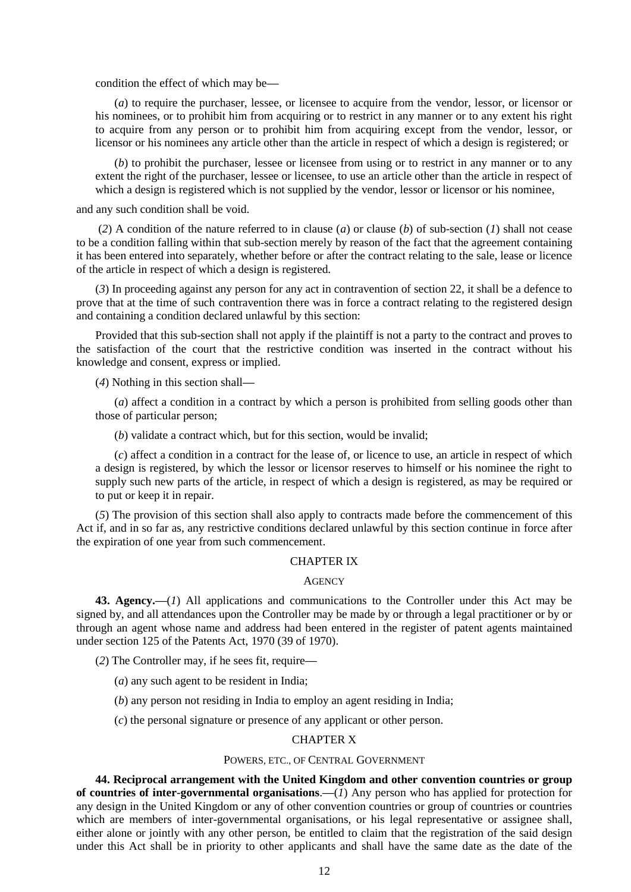condition the effect of which may be**—**

(*a*) to require the purchaser, lessee, or licensee to acquire from the vendor, lessor, or licensor or his nominees, or to prohibit him from acquiring or to restrict in any manner or to any extent his right to acquire from any person or to prohibit him from acquiring except from the vendor, lessor, or licensor or his nominees any article other than the article in respect of which a design is registered; or

(*b*) to prohibit the purchaser, lessee or licensee from using or to restrict in any manner or to any extent the right of the purchaser, lessee or licensee, to use an article other than the article in respect of which a design is registered which is not supplied by the vendor, lessor or licensor or his nominee,

and any such condition shall be void.

(*2*) A condition of the nature referred to in clause (*a*) or clause (*b*) of sub-section (*1*) shall not cease to be a condition falling within that sub-section merely by reason of the fact that the agreement containing it has been entered into separately, whether before or after the contract relating to the sale, lease or licence of the article in respect of which a design is registered.

(*3*) In proceeding against any person for any act in contravention of section 22, it shall be a defence to prove that at the time of such contravention there was in force a contract relating to the registered design and containing a condition declared unlawful by this section:

Provided that this sub-section shall not apply if the plaintiff is not a party to the contract and proves to the satisfaction of the court that the restrictive condition was inserted in the contract without his knowledge and consent, express or implied.

(*4*) Nothing in this section shall**—**

(*a*) affect a condition in a contract by which a person is prohibited from selling goods other than those of particular person;

(*b*) validate a contract which, but for this section, would be invalid;

(*c*) affect a condition in a contract for the lease of, or licence to use, an article in respect of which a design is registered, by which the lessor or licensor reserves to himself or his nominee the right to supply such new parts of the article, in respect of which a design is registered, as may be required or to put or keep it in repair.

(*5*) The provision of this section shall also apply to contracts made before the commencement of this Act if, and in so far as, any restrictive conditions declared unlawful by this section continue in force after the expiration of one year from such commencement.

## CHAPTER IX

#### **AGENCY**

**43. Agency.—**(*1*) All applications and communications to the Controller under this Act may be signed by, and all attendances upon the Controller may be made by or through a legal practitioner or by or through an agent whose name and address had been entered in the register of patent agents maintained under section 125 of the Patents Act, 1970 (39 of 1970).

(*2*) The Controller may, if he sees fit, require**—**

- (*a*) any such agent to be resident in India;
- (*b*) any person not residing in India to employ an agent residing in India;

(*c*) the personal signature or presence of any applicant or other person.

### CHAPTER X

### POWERS, ETC., OF CENTRAL GOVERNMENT

**44. Reciprocal arrangement with the United Kingdom and other convention countries or group of countries of inter-governmental organisations**.**—**(*1*) Any person who has applied for protection for any design in the United Kingdom or any of other convention countries or group of countries or countries which are members of inter-governmental organisations, or his legal representative or assignee shall, either alone or jointly with any other person, be entitled to claim that the registration of the said design under this Act shall be in priority to other applicants and shall have the same date as the date of the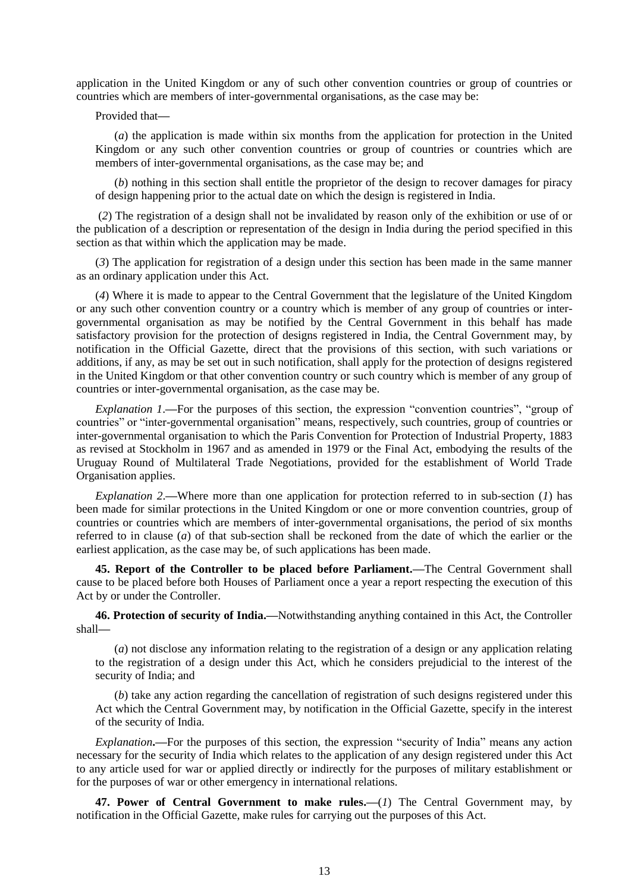application in the United Kingdom or any of such other convention countries or group of countries or countries which are members of inter-governmental organisations, as the case may be:

Provided that**—**

(*a*) the application is made within six months from the application for protection in the United Kingdom or any such other convention countries or group of countries or countries which are members of inter-governmental organisations, as the case may be; and

(*b*) nothing in this section shall entitle the proprietor of the design to recover damages for piracy of design happening prior to the actual date on which the design is registered in India.

(*2*) The registration of a design shall not be invalidated by reason only of the exhibition or use of or the publication of a description or representation of the design in India during the period specified in this section as that within which the application may be made.

(*3*) The application for registration of a design under this section has been made in the same manner as an ordinary application under this Act.

(*4*) Where it is made to appear to the Central Government that the legislature of the United Kingdom or any such other convention country or a country which is member of any group of countries or intergovernmental organisation as may be notified by the Central Government in this behalf has made satisfactory provision for the protection of designs registered in India, the Central Government may, by notification in the Official Gazette, direct that the provisions of this section, with such variations or additions, if any, as may be set out in such notification, shall apply for the protection of designs registered in the United Kingdom or that other convention country or such country which is member of any group of countries or inter-governmental organisation, as the case may be.

*Explanation 1*.**—**For the purposes of this section, the expression "convention countries", "group of countries" or "inter-governmental organisation" means, respectively, such countries, group of countries or inter-governmental organisation to which the Paris Convention for Protection of Industrial Property, 1883 as revised at Stockholm in 1967 and as amended in 1979 or the Final Act, embodying the results of the Uruguay Round of Multilateral Trade Negotiations, provided for the establishment of World Trade Organisation applies.

*Explanation 2*.**—**Where more than one application for protection referred to in sub-section (*1*) has been made for similar protections in the United Kingdom or one or more convention countries, group of countries or countries which are members of inter-governmental organisations, the period of six months referred to in clause (*a*) of that sub-section shall be reckoned from the date of which the earlier or the earliest application, as the case may be, of such applications has been made.

**45. Report of the Controller to be placed before Parliament.—**The Central Government shall cause to be placed before both Houses of Parliament once a year a report respecting the execution of this Act by or under the Controller.

**46. Protection of security of India.—**Notwithstanding anything contained in this Act, the Controller shall**—**

(*a*) not disclose any information relating to the registration of a design or any application relating to the registration of a design under this Act, which he considers prejudicial to the interest of the security of India; and

(*b*) take any action regarding the cancellation of registration of such designs registered under this Act which the Central Government may, by notification in the Official Gazette, specify in the interest of the security of India.

*Explanation***.—**For the purposes of this section, the expression "security of India" means any action necessary for the security of India which relates to the application of any design registered under this Act to any article used for war or applied directly or indirectly for the purposes of military establishment or for the purposes of war or other emergency in international relations.

**47. Power of Central Government to make rules.—**(*1*) The Central Government may, by notification in the Official Gazette, make rules for carrying out the purposes of this Act.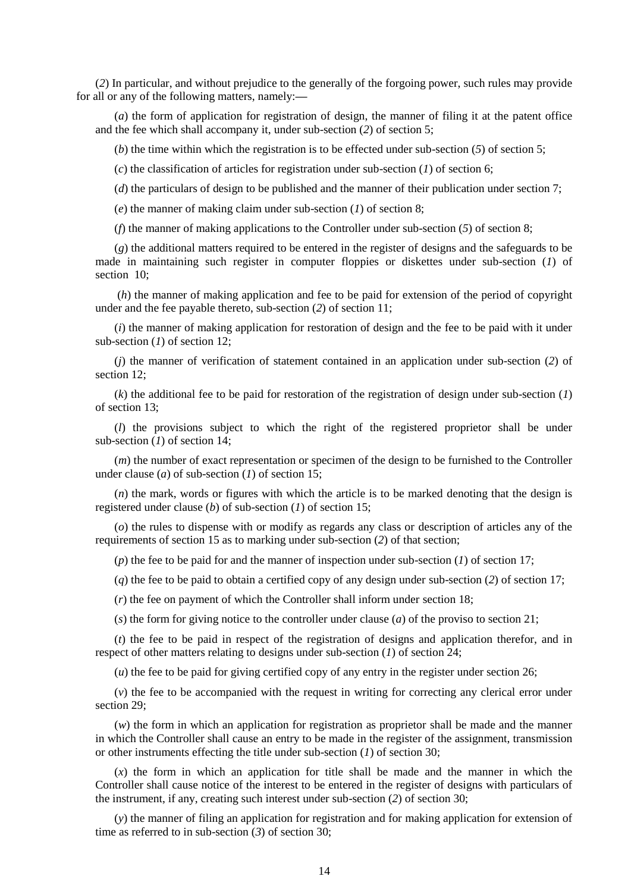(*2*) In particular, and without prejudice to the generally of the forgoing power, such rules may provide for all or any of the following matters, namely:**—**

(*a*) the form of application for registration of design, the manner of filing it at the patent office and the fee which shall accompany it, under sub-section (*2*) of section 5;

(*b*) the time within which the registration is to be effected under sub-section (*5*) of section 5;

(*c*) the classification of articles for registration under sub-section (*1*) of section 6;

(*d*) the particulars of design to be published and the manner of their publication under section 7;

(*e*) the manner of making claim under sub-section (*1*) of section 8;

(*f*) the manner of making applications to the Controller under sub-section  $(5)$  of section 8;

(*g*) the additional matters required to be entered in the register of designs and the safeguards to be made in maintaining such register in computer floppies or diskettes under sub-section (*1*) of section 10:

(*h*) the manner of making application and fee to be paid for extension of the period of copyright under and the fee payable thereto, sub-section (*2*) of section 11;

(*i*) the manner of making application for restoration of design and the fee to be paid with it under sub-section (*1*) of section 12;

(*j*) the manner of verification of statement contained in an application under sub-section (*2*) of section 12;

(*k*) the additional fee to be paid for restoration of the registration of design under sub-section (*1*) of section 13;

(*l*) the provisions subject to which the right of the registered proprietor shall be under sub-section (*1*) of section 14;

(*m*) the number of exact representation or specimen of the design to be furnished to the Controller under clause (*a*) of sub-section (*1*) of section 15;

(*n*) the mark, words or figures with which the article is to be marked denoting that the design is registered under clause (*b*) of sub-section (*1*) of section 15;

(*o*) the rules to dispense with or modify as regards any class or description of articles any of the requirements of section 15 as to marking under sub-section (*2*) of that section;

(*p*) the fee to be paid for and the manner of inspection under sub-section (*1*) of section 17;

(*q*) the fee to be paid to obtain a certified copy of any design under sub-section (*2*) of section 17;

(*r*) the fee on payment of which the Controller shall inform under section 18;

(*s*) the form for giving notice to the controller under clause (*a*) of the proviso to section 21;

(*t*) the fee to be paid in respect of the registration of designs and application therefor, and in respect of other matters relating to designs under sub-section (*1*) of section 24;

(*u*) the fee to be paid for giving certified copy of any entry in the register under section 26;

(*v*) the fee to be accompanied with the request in writing for correcting any clerical error under section 29;

(*w*) the form in which an application for registration as proprietor shall be made and the manner in which the Controller shall cause an entry to be made in the register of the assignment, transmission or other instruments effecting the title under sub-section (*1*) of section 30;

(*x*) the form in which an application for title shall be made and the manner in which the Controller shall cause notice of the interest to be entered in the register of designs with particulars of the instrument, if any, creating such interest under sub-section (*2*) of section 30;

(*y*) the manner of filing an application for registration and for making application for extension of time as referred to in sub-section  $(3)$  of section 30;